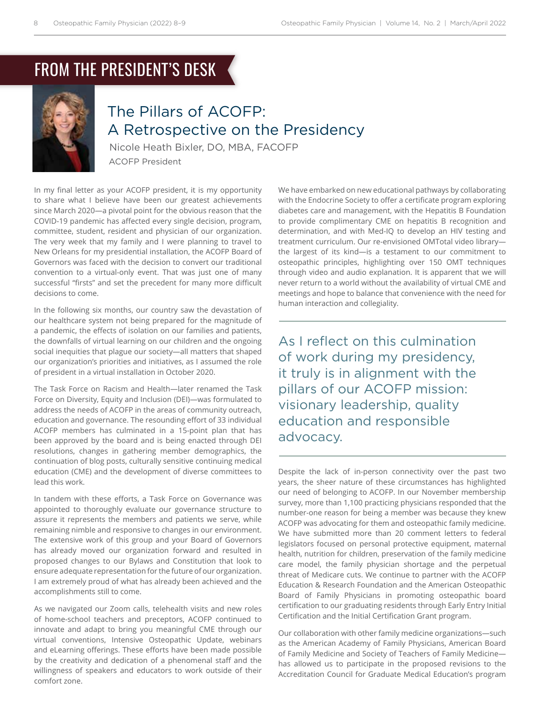# FROM THE PRESIDENT'S DESK



### The Pillars of ACOFP: A Retrospective on the Presidency

Nicole Heath Bixler, DO, MBA, FACOFP ACOFP President

In my final letter as your ACOFP president, it is my opportunity to share what I believe have been our greatest achievements since March 2020—a pivotal point for the obvious reason that the COVID-19 pandemic has affected every single decision, program, committee, student, resident and physician of our organization. The very week that my family and I were planning to travel to New Orleans for my presidential installation, the ACOFP Board of Governors was faced with the decision to convert our traditional convention to a virtual-only event. That was just one of many successful "firsts" and set the precedent for many more difficult decisions to come.

In the following six months, our country saw the devastation of our healthcare system not being prepared for the magnitude of a pandemic, the effects of isolation on our families and patients, the downfalls of virtual learning on our children and the ongoing social inequities that plague our society—all matters that shaped our organization's priorities and initiatives, as I assumed the role of president in a virtual installation in October 2020.

The Task Force on Racism and Health—later renamed the Task Force on Diversity, Equity and Inclusion (DEI)—was formulated to address the needs of ACOFP in the areas of community outreach, education and governance. The resounding effort of 33 individual ACOFP members has culminated in a 15-point plan that has been approved by the board and is being enacted through DEI resolutions, changes in gathering member demographics, the continuation of blog posts, culturally sensitive continuing medical education (CME) and the development of diverse committees to lead this work.

In tandem with these efforts, a Task Force on Governance was appointed to thoroughly evaluate our governance structure to assure it represents the members and patients we serve, while remaining nimble and responsive to changes in our environment. The extensive work of this group and your Board of Governors has already moved our organization forward and resulted in proposed changes to our Bylaws and Constitution that look to ensure adequate representation for the future of our organization. I am extremely proud of what has already been achieved and the accomplishments still to come.

As we navigated our Zoom calls, telehealth visits and new roles of home-school teachers and preceptors, ACOFP continued to innovate and adapt to bring you meaningful CME through our virtual conventions, Intensive Osteopathic Update, webinars and eLearning offerings. These efforts have been made possible by the creativity and dedication of a phenomenal staff and the willingness of speakers and educators to work outside of their comfort zone.

We have embarked on new educational pathways by collaborating with the Endocrine Society to offer a certificate program exploring diabetes care and management, with the Hepatitis B Foundation to provide complimentary CME on hepatitis B recognition and determination, and with Med-IQ to develop an HIV testing and treatment curriculum. Our re-envisioned OMTotal video library the largest of its kind—is a testament to our commitment to osteopathic principles, highlighting over 150 OMT techniques through video and audio explanation. It is apparent that we will never return to a world without the availability of virtual CME and meetings and hope to balance that convenience with the need for human interaction and collegiality.

As I reflect on this culmination of work during my presidency, it truly is in alignment with the pillars of our ACOFP mission: visionary leadership, quality education and responsible advocacy.

Despite the lack of in-person connectivity over the past two years, the sheer nature of these circumstances has highlighted our need of belonging to ACOFP. In our November membership survey, more than 1,100 practicing physicians responded that the number-one reason for being a member was because they knew ACOFP was advocating for them and osteopathic family medicine. We have submitted more than 20 comment letters to federal legislators focused on personal protective equipment, maternal health, nutrition for children, preservation of the family medicine care model, the family physician shortage and the perpetual threat of Medicare cuts. We continue to partner with the ACOFP Education & Research Foundation and the American Osteopathic Board of Family Physicians in promoting osteopathic board certification to our graduating residents through Early Entry Initial Certification and the Initial Certification Grant program.

Our collaboration with other family medicine organizations—such as the American Academy of Family Physicians, American Board of Family Medicine and Society of Teachers of Family Medicine has allowed us to participate in the proposed revisions to the Accreditation Council for Graduate Medical Education's program